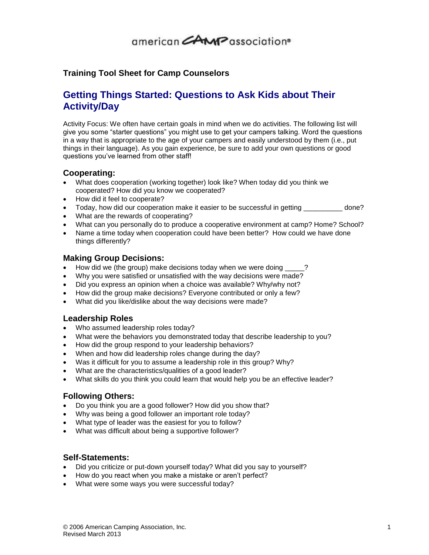## 

### **Training Tool Sheet for Camp Counselors**

### **Getting Things Started: Questions to Ask Kids about Their Activity/Day**

Activity Focus: We often have certain goals in mind when we do activities. The following list will give you some "starter questions" you might use to get your campers talking. Word the questions in a way that is appropriate to the age of your campers and easily understood by them (i.e., put things in their language). As you gain experience, be sure to add your own questions or good questions you've learned from other staff!

#### **Cooperating:**

- What does cooperation (working together) look like? When today did you think we cooperated? How did you know we cooperated?
- How did it feel to cooperate?
- Today, how did our cooperation make it easier to be successful in getting \_\_\_\_\_\_\_\_\_\_ done?
- What are the rewards of cooperating?
- What can you personally do to produce a cooperative environment at camp? Home? School?
- Name a time today when cooperation could have been better? How could we have done things differently?

#### **Making Group Decisions:**

- How did we (the group) make decisions today when we were doing
- Why you were satisfied or unsatisfied with the way decisions were made?
- Did you express an opinion when a choice was available? Why/why not?
- How did the group make decisions? Everyone contributed or only a few?
- What did you like/dislike about the way decisions were made?

#### **Leadership Roles**

- Who assumed leadership roles today?
- What were the behaviors you demonstrated today that describe leadership to you?
- How did the group respond to your leadership behaviors?
- When and how did leadership roles change during the day?
- Was it difficult for you to assume a leadership role in this group? Why?
- What are the characteristics/qualities of a good leader?
- What skills do you think you could learn that would help you be an effective leader?

#### **Following Others:**

- Do you think you are a good follower? How did you show that?
- Why was being a good follower an important role today?
- What type of leader was the easiest for you to follow?
- What was difficult about being a supportive follower?

#### **Self-Statements:**

- Did you criticize or put-down yourself today? What did you say to yourself?
- How do you react when you make a mistake or aren't perfect?
- What were some ways you were successful today?